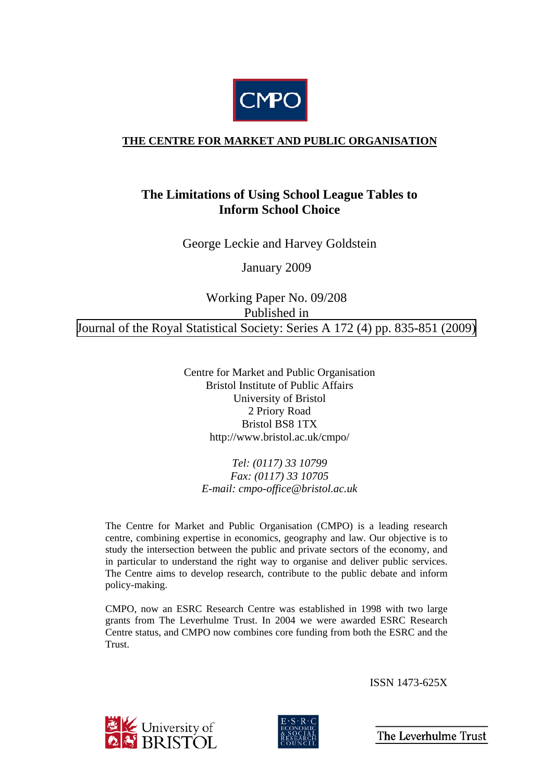

### **THE CENTRE FOR MARKET AND PUBLIC ORGANISATION**

## **The Limitations of Using School League Tables to Inform School Choice**

George Leckie and Harvey Goldstein

January 2009

Working Paper No. 09/208 Published in [Journal of the Royal Statistical Society: Series A 172 \(4\) pp. 835-851 \(2009\)](http://onlinelibrary.wiley.com/doi/10.1111/j.1467-985X.2009.00597.x/abstract) 

> Centre for Market and Public Organisation Bristol Institute of Public Affairs University of Bristol 2 Priory Road Bristol BS8 1TX http://www.bristol.ac.uk/cmpo/

*Tel: (0117) 33 10799 Fax: (0117) 33 10705 E-mail: cmpo-office@bristol.ac.uk* 

The Centre for Market and Public Organisation (CMPO) is a leading research centre, combining expertise in economics, geography and law. Our objective is to study the intersection between the public and private sectors of the economy, and in particular to understand the right way to organise and deliver public services. The Centre aims to develop research, contribute to the public debate and inform policy-making.

CMPO, now an ESRC Research Centre was established in 1998 with two large grants from The Leverhulme Trust. In 2004 we were awarded ESRC Research Centre status, and CMPO now combines core funding from both the ESRC and the Trust.

ISSN 1473-625X





The Leverhulme Trust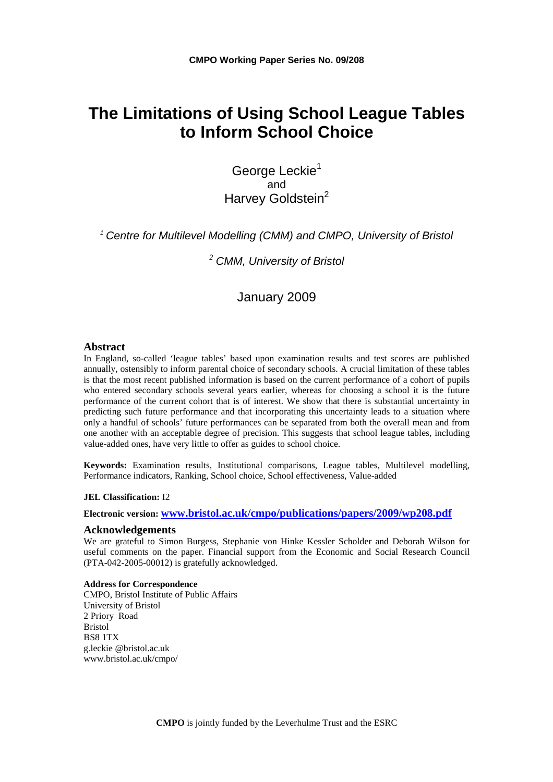# **The Limitations of Using School League Tables to Inform School Choice**

George Leckie<sup>1</sup> and Harvey Goldstein<sup>2</sup>

<sup>1</sup> Centre for Multilevel Modelling (CMM) and CMPO, University of Bristol

*<sup>2</sup>* CMM, University of Bristol

### January 2009

#### **Abstract**

In England, so-called 'league tables' based upon examination results and test scores are published annually, ostensibly to inform parental choice of secondary schools. A crucial limitation of these tables is that the most recent published information is based on the current performance of a cohort of pupils who entered secondary schools several years earlier, whereas for choosing a school it is the future performance of the current cohort that is of interest. We show that there is substantial uncertainty in predicting such future performance and that incorporating this uncertainty leads to a situation where only a handful of schools' future performances can be separated from both the overall mean and from one another with an acceptable degree of precision. This suggests that school league tables, including value-added ones, have very little to offer as guides to school choice.

**Keywords:** Examination results, Institutional comparisons, League tables, Multilevel modelling, Performance indicators, Ranking, School choice, School effectiveness, Value-added

#### **JEL Classification:** I2

#### **Electronic version: www.bristol.ac.uk/cmpo/publications/papers/2009/wp208.pdf**

#### **Acknowledgements**

We are grateful to Simon Burgess, Stephanie von Hinke Kessler Scholder and Deborah Wilson for useful comments on the paper. Financial support from the Economic and Social Research Council (PTA-042-2005-00012) is gratefully acknowledged.

#### **Address for Correspondence**

CMPO, Bristol Institute of Public Affairs University of Bristol 2 Priory Road Bristol BS8 1TX g.leckie @bristol.ac.uk www.bristol.ac.uk/cmpo/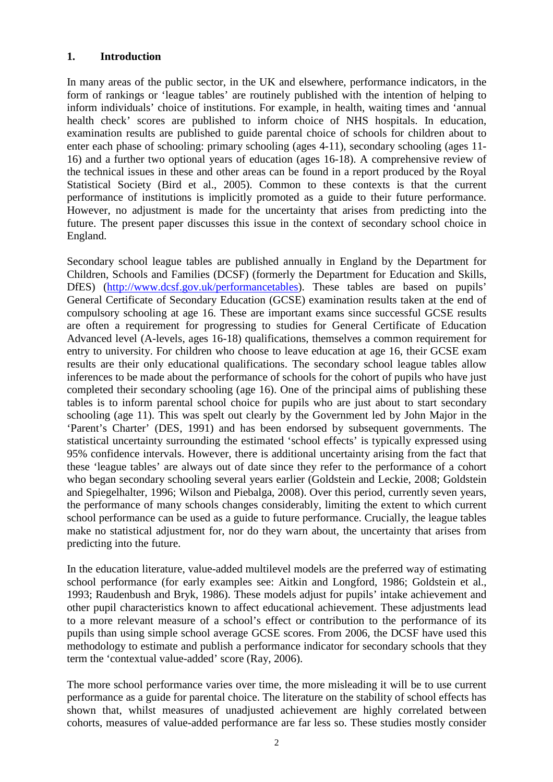### **1. Introduction**

In many areas of the public sector, in the UK and elsewhere, performance indicators, in the form of rankings or 'league tables' are routinely published with the intention of helping to inform individuals' choice of institutions. For example, in health, waiting times and 'annual health check' scores are published to inform choice of NHS hospitals. In education, examination results are published to guide parental choice of schools for children about to enter each phase of schooling: primary schooling (ages 4-11), secondary schooling (ages 11- 16) and a further two optional years of education (ages 16-18). A comprehensive review of the technical issues in these and other areas can be found in a report produced by the Royal Statistical Society (Bird et al., 2005). Common to these contexts is that the current performance of institutions is implicitly promoted as a guide to their future performance. However, no adjustment is made for the uncertainty that arises from predicting into the future. The present paper discusses this issue in the context of secondary school choice in England.

Secondary school league tables are published annually in England by the Department for Children, Schools and Families (DCSF) (formerly the Department for Education and Skills, DfES) (http://www.dcsf.gov.uk/performancetables). These tables are based on pupils' General Certificate of Secondary Education (GCSE) examination results taken at the end of compulsory schooling at age 16. These are important exams since successful GCSE results are often a requirement for progressing to studies for General Certificate of Education Advanced level (A-levels, ages 16-18) qualifications, themselves a common requirement for entry to university. For children who choose to leave education at age 16, their GCSE exam results are their only educational qualifications. The secondary school league tables allow inferences to be made about the performance of schools for the cohort of pupils who have just completed their secondary schooling (age 16). One of the principal aims of publishing these tables is to inform parental school choice for pupils who are just about to start secondary schooling (age 11). This was spelt out clearly by the Government led by John Major in the 'Parent's Charter' (DES, 1991) and has been endorsed by subsequent governments. The statistical uncertainty surrounding the estimated 'school effects' is typically expressed using 95% confidence intervals. However, there is additional uncertainty arising from the fact that these 'league tables' are always out of date since they refer to the performance of a cohort who began secondary schooling several years earlier (Goldstein and Leckie, 2008; Goldstein and Spiegelhalter, 1996; Wilson and Piebalga, 2008). Over this period, currently seven years, the performance of many schools changes considerably, limiting the extent to which current school performance can be used as a guide to future performance. Crucially, the league tables make no statistical adjustment for, nor do they warn about, the uncertainty that arises from predicting into the future.

In the education literature, value-added multilevel models are the preferred way of estimating school performance (for early examples see: Aitkin and Longford, 1986; Goldstein et al., 1993; Raudenbush and Bryk, 1986). These models adjust for pupils' intake achievement and other pupil characteristics known to affect educational achievement. These adjustments lead to a more relevant measure of a school's effect or contribution to the performance of its pupils than using simple school average GCSE scores. From 2006, the DCSF have used this methodology to estimate and publish a performance indicator for secondary schools that they term the 'contextual value-added' score (Ray, 2006).

The more school performance varies over time, the more misleading it will be to use current performance as a guide for parental choice. The literature on the stability of school effects has shown that, whilst measures of unadjusted achievement are highly correlated between cohorts, measures of value-added performance are far less so. These studies mostly consider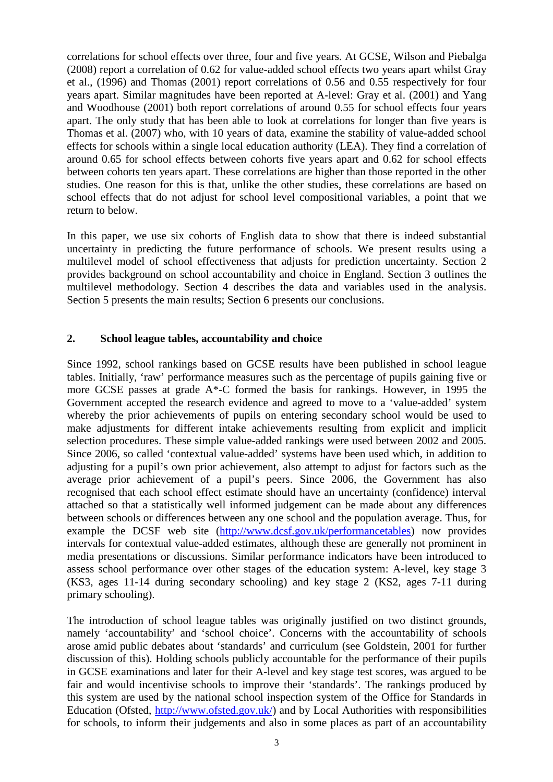correlations for school effects over three, four and five years. At GCSE, Wilson and Piebalga (2008) report a correlation of 0.62 for value-added school effects two years apart whilst Gray et al., (1996) and Thomas (2001) report correlations of 0.56 and 0.55 respectively for four years apart. Similar magnitudes have been reported at A-level: Gray et al. (2001) and Yang and Woodhouse (2001) both report correlations of around 0.55 for school effects four years apart. The only study that has been able to look at correlations for longer than five years is Thomas et al. (2007) who, with 10 years of data, examine the stability of value-added school effects for schools within a single local education authority (LEA). They find a correlation of around 0.65 for school effects between cohorts five years apart and 0.62 for school effects between cohorts ten years apart. These correlations are higher than those reported in the other studies. One reason for this is that, unlike the other studies, these correlations are based on school effects that do not adjust for school level compositional variables, a point that we return to below.

In this paper, we use six cohorts of English data to show that there is indeed substantial uncertainty in predicting the future performance of schools. We present results using a multilevel model of school effectiveness that adjusts for prediction uncertainty. Section 2 provides background on school accountability and choice in England. Section 3 outlines the multilevel methodology. Section 4 describes the data and variables used in the analysis. Section 5 presents the main results; Section 6 presents our conclusions.

### **2. School league tables, accountability and choice**

Since 1992, school rankings based on GCSE results have been published in school league tables. Initially, 'raw' performance measures such as the percentage of pupils gaining five or more GCSE passes at grade A\*-C formed the basis for rankings. However, in 1995 the Government accepted the research evidence and agreed to move to a 'value-added' system whereby the prior achievements of pupils on entering secondary school would be used to make adjustments for different intake achievements resulting from explicit and implicit selection procedures. These simple value-added rankings were used between 2002 and 2005. Since 2006, so called 'contextual value-added' systems have been used which, in addition to adjusting for a pupil's own prior achievement, also attempt to adjust for factors such as the average prior achievement of a pupil's peers. Since 2006, the Government has also recognised that each school effect estimate should have an uncertainty (confidence) interval attached so that a statistically well informed judgement can be made about any differences between schools or differences between any one school and the population average. Thus, for example the DCSF web site (http://www.dcsf.gov.uk/performancetables) now provides intervals for contextual value-added estimates, although these are generally not prominent in media presentations or discussions. Similar performance indicators have been introduced to assess school performance over other stages of the education system: A-level, key stage 3 (KS3, ages 11-14 during secondary schooling) and key stage 2 (KS2, ages 7-11 during primary schooling).

The introduction of school league tables was originally justified on two distinct grounds, namely 'accountability' and 'school choice'. Concerns with the accountability of schools arose amid public debates about 'standards' and curriculum (see Goldstein, 2001 for further discussion of this). Holding schools publicly accountable for the performance of their pupils in GCSE examinations and later for their A-level and key stage test scores, was argued to be fair and would incentivise schools to improve their 'standards'. The rankings produced by this system are used by the national school inspection system of the Office for Standards in Education (Ofsted, http://www.ofsted.gov.uk/) and by Local Authorities with responsibilities for schools, to inform their judgements and also in some places as part of an accountability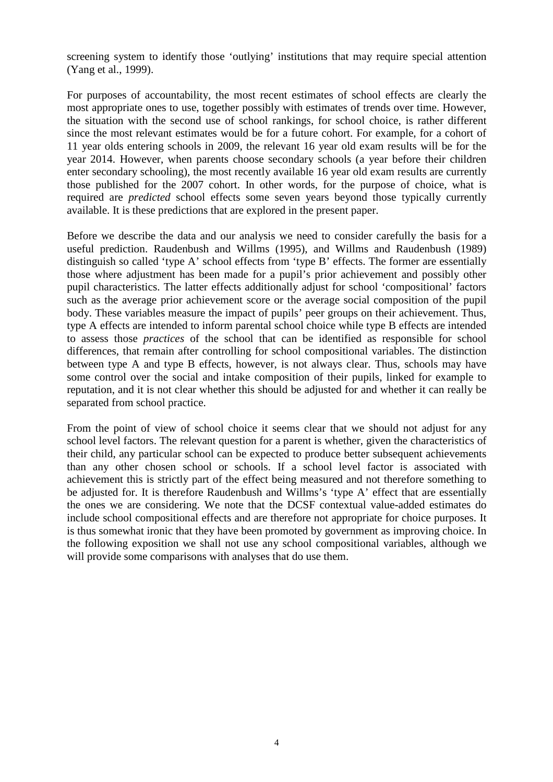screening system to identify those 'outlying' institutions that may require special attention (Yang et al., 1999).

For purposes of accountability, the most recent estimates of school effects are clearly the most appropriate ones to use, together possibly with estimates of trends over time. However, the situation with the second use of school rankings, for school choice, is rather different since the most relevant estimates would be for a future cohort. For example, for a cohort of 11 year olds entering schools in 2009, the relevant 16 year old exam results will be for the year 2014. However, when parents choose secondary schools (a year before their children enter secondary schooling), the most recently available 16 year old exam results are currently those published for the 2007 cohort. In other words, for the purpose of choice, what is required are *predicted* school effects some seven years beyond those typically currently available. It is these predictions that are explored in the present paper.

Before we describe the data and our analysis we need to consider carefully the basis for a useful prediction. Raudenbush and Willms (1995), and Willms and Raudenbush (1989) distinguish so called 'type A' school effects from 'type B' effects. The former are essentially those where adjustment has been made for a pupil's prior achievement and possibly other pupil characteristics. The latter effects additionally adjust for school 'compositional' factors such as the average prior achievement score or the average social composition of the pupil body. These variables measure the impact of pupils' peer groups on their achievement. Thus, type A effects are intended to inform parental school choice while type B effects are intended to assess those *practices* of the school that can be identified as responsible for school differences, that remain after controlling for school compositional variables. The distinction between type A and type B effects, however, is not always clear. Thus, schools may have some control over the social and intake composition of their pupils, linked for example to reputation, and it is not clear whether this should be adjusted for and whether it can really be separated from school practice.

From the point of view of school choice it seems clear that we should not adjust for any school level factors. The relevant question for a parent is whether, given the characteristics of their child, any particular school can be expected to produce better subsequent achievements than any other chosen school or schools. If a school level factor is associated with achievement this is strictly part of the effect being measured and not therefore something to be adjusted for. It is therefore Raudenbush and Willms's 'type A' effect that are essentially the ones we are considering. We note that the DCSF contextual value-added estimates do include school compositional effects and are therefore not appropriate for choice purposes. It is thus somewhat ironic that they have been promoted by government as improving choice. In the following exposition we shall not use any school compositional variables, although we will provide some comparisons with analyses that do use them.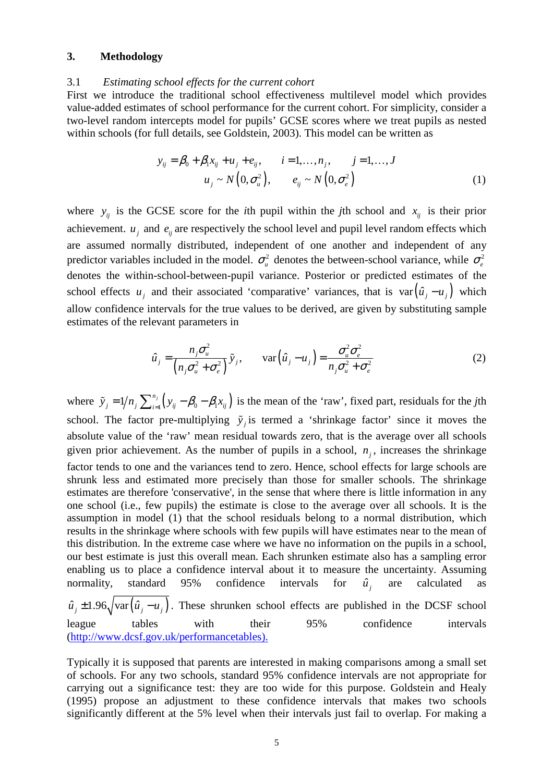#### **3. Methodology**

#### 3.1 *Estimating school effects for the current cohort*

First we introduce the traditional school effectiveness multilevel model which provides value-added estimates of school performance for the current cohort. For simplicity, consider a two-level random intercepts model for pupils' GCSE scores where we treat pupils as nested within schools (for full details, see Goldstein, 2003). This model can be written as

$$
y_{ij} = \beta_0 + \beta_1 x_{ij} + u_j + e_{ij}, \qquad i = 1,...,n_j, \qquad j = 1,...,J
$$
  

$$
u_j \sim N(0, \sigma_u^2), \qquad e_{ij} \sim N(0, \sigma_e^2)
$$
 (1)

where  $y_{ij}$  is the GCSE score for the *i*th pupil within the *j*th school and  $x_{ij}$  is their prior achievement.  $u_j$  and  $e_{ij}$  are respectively the school level and pupil level random effects which are assumed normally distributed, independent of one another and independent of any predictor variables included in the model.  $\sigma_u^2$  denotes the between-school variance, while  $\sigma_e^2$ denotes the within-school-between-pupil variance. Posterior or predicted estimates of the school effects  $u_j$  and their associated 'comparative' variances, that is var $(\hat{u}_j - u_j)$  which allow confidence intervals for the true values to be derived, are given by substituting sample estimates of the relevant parameters in

$$
\hat{u}_j = \frac{n_j \sigma_u^2}{\left(n_j \sigma_u^2 + \sigma_e^2\right)} \tilde{y}_j, \qquad \text{var}\left(\hat{u}_j - u_j\right) = \frac{\sigma_u^2 \sigma_e^2}{n_j \sigma_u^2 + \sigma_e^2} \tag{2}
$$

where  $\tilde{y}_j = 1/n_j \sum_{i=1}^{n_j} (y_{ij} - \beta_0 - \beta_1 x_{ij})$  $\tilde{y}_j = 1/n_j \sum_{i=1}^{n_j} (y_{ij} - \beta_0 - \beta_1 x_{ij})$  is the mean of the 'raw', fixed part, residuals for the *j*th school. The factor pre-multiplying  $\tilde{y}_j$  is termed a 'shrinkage factor' since it moves the absolute value of the 'raw' mean residual towards zero, that is the average over all schools given prior achievement. As the number of pupils in a school,  $n_j$ , increases the shrinkage factor tends to one and the variances tend to zero. Hence, school effects for large schools are shrunk less and estimated more precisely than those for smaller schools. The shrinkage estimates are therefore 'conservative', in the sense that where there is little information in any one school (i.e., few pupils) the estimate is close to the average over all schools. It is the assumption in model (1) that the school residuals belong to a normal distribution, which results in the shrinkage where schools with few pupils will have estimates near to the mean of this distribution. In the extreme case where we have no information on the pupils in a school, our best estimate is just this overall mean. Each shrunken estimate also has a sampling error enabling us to place a confidence interval about it to measure the uncertainty. Assuming normality, standard 95% confidence intervals for  $\hat{u}$ are calculated as  $\hat{u}_j \pm 1.96 \sqrt{\text{var}(\hat{u}_j - u_j)}$ . These shrunken school effects are published in the DCSF school league tables with their 95% confidence intervals (http://www.dcsf.gov.uk/performancetables).

Typically it is supposed that parents are interested in making comparisons among a small set of schools. For any two schools, standard 95% confidence intervals are not appropriate for carrying out a significance test: they are too wide for this purpose. Goldstein and Healy (1995) propose an adjustment to these confidence intervals that makes two schools significantly different at the 5% level when their intervals just fail to overlap. For making a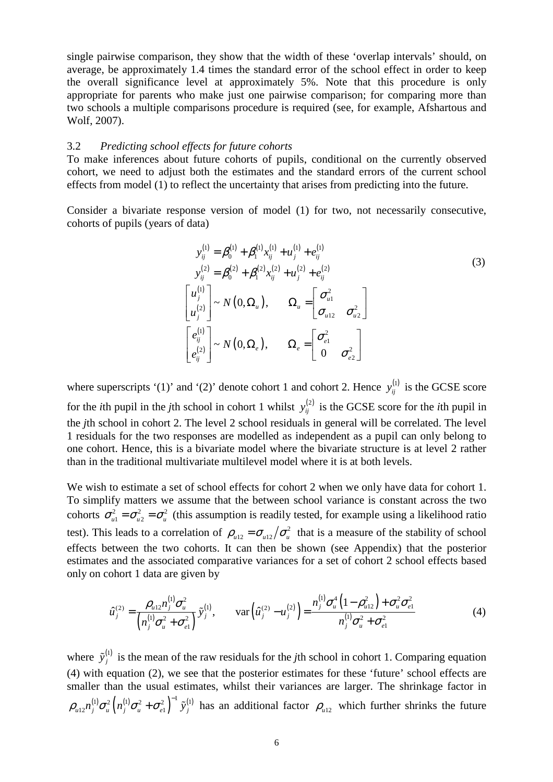single pairwise comparison, they show that the width of these 'overlap intervals' should, on average, be approximately 1.4 times the standard error of the school effect in order to keep the overall significance level at approximately 5%. Note that this procedure is only appropriate for parents who make just one pairwise comparison; for comparing more than two schools a multiple comparisons procedure is required (see, for example, Afshartous and Wolf, 2007).

#### 3.2 *Predicting school effects for future cohorts*

To make inferences about future cohorts of pupils, conditional on the currently observed cohort, we need to adjust both the estimates and the standard errors of the current school effects from model (1) to reflect the uncertainty that arises from predicting into the future.

Consider a bivariate response version of model (1) for two, not necessarily consecutive, cohorts of pupils (years of data)

$$
y_{ij}^{(1)} = \beta_0^{(1)} + \beta_1^{(1)} x_{ij}^{(1)} + u_j^{(1)} + e_{ij}^{(1)}
$$
  
\n
$$
y_{ij}^{(2)} = \beta_0^{(2)} + \beta_1^{(2)} x_{ij}^{(2)} + u_j^{(2)} + e_{ij}^{(2)}
$$
  
\n
$$
\begin{bmatrix} u_j^{(1)} \\ u_j^{(2)} \end{bmatrix} \sim N(0, \Omega_u), \qquad \Omega_u = \begin{bmatrix} \sigma_{u1}^2 \\ \sigma_{u12} & \sigma_{u2}^2 \end{bmatrix}
$$
  
\n
$$
\begin{bmatrix} e_{ij}^{(1)} \\ e_{ij}^{(2)} \end{bmatrix} \sim N(0, \Omega_e), \qquad \Omega_e = \begin{bmatrix} \sigma_{e1}^2 \\ 0 \\ \sigma_{e2} \end{bmatrix}
$$

where superscripts '(1)' and '(2)' denote cohort 1 and cohort 2. Hence  $y_{ij}^{(1)}$  is the GCSE score for the *i*th pupil in the *j*th school in cohort 1 whilst  $y_{ij}^{(2)}$  is the GCSE score for the *i*th pupil in the *j*th school in cohort 2. The level 2 school residuals in general will be correlated. The level 1 residuals for the two responses are modelled as independent as a pupil can only belong to one cohort. Hence, this is a bivariate model where the bivariate structure is at level 2 rather than in the traditional multivariate multilevel model where it is at both levels.

We wish to estimate a set of school effects for cohort 2 when we only have data for cohort 1. To simplify matters we assume that the between school variance is constant across the two cohorts  $\sigma_{u_1}^2 = \sigma_{u_2}^2 = \sigma_u^2$  (this assumption is readily tested, for example using a likelihood ratio test). This leads to a correlation of  $\rho_{u12} = \sigma_{u12}/\sigma_u^2$  that is a measure of the stability of school effects between the two cohorts. It can then be shown (see Appendix) that the posterior estimates and the associated comparative variances for a set of cohort 2 school effects based only on cohort 1 data are given by

$$
\hat{u}_{j}^{(2)} = \frac{\rho_{u12} n_{j}^{(1)} \sigma_{u}^{2}}{\left(n_{j}^{(1)} \sigma_{u}^{2} + \sigma_{e1}^{2}\right)} \tilde{y}_{j}^{(1)}, \qquad \text{var}\left(\hat{u}_{j}^{(2)} - u_{j}^{(2)}\right) = \frac{n_{j}^{(1)} \sigma_{u}^{4} \left(1 - \rho_{u12}^{2}\right) + \sigma_{u}^{2} \sigma_{e1}^{2}}{n_{j}^{(1)} \sigma_{u}^{2} + \sigma_{e1}^{2}}
$$
(4)

where  $\tilde{y}^{(1)}_j$  is the mean of the raw residuals for the *j*th school in cohort 1. Comparing equation (4) with equation (2), we see that the posterior estimates for these 'future' school effects are smaller than the usual estimates, whilst their variances are larger. The shrinkage factor in  $\rho_{u12}n_j^{(1)}\sigma_u^2\left(n_j^{(1)}\sigma_u^2+\sigma_{e1}^2\right)^{-1}\tilde{y}_j^{(1)}$  has an additional factor  $\rho_{u12}$  which further shrinks the future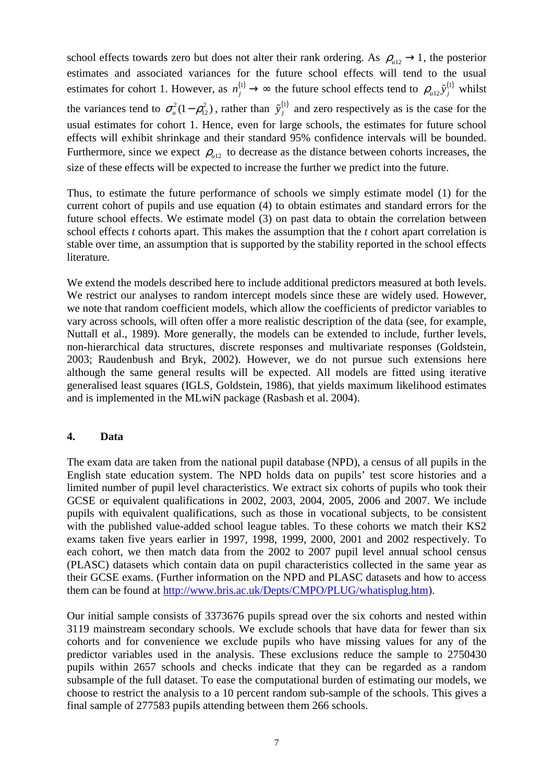school effects towards zero but does not alter their rank ordering. As  $\rho_{u12} \rightarrow 1$ , the posterior estimates and associated variances for the future school effects will tend to the usual estimates for cohort 1. However, as  $n_j^{(1)} \to \infty$  the future school effects tend to  $\rho_{u12} \tilde{y}_j^{(1)}$  whilst the variances tend to  $\sigma_u^2(1-\rho_{12}^2)$ , rather than  $\tilde{y}_j^{(1)}$  and zero respectively as is the case for the usual estimates for cohort 1. Hence, even for large schools, the estimates for future school effects will exhibit shrinkage and their standard 95% confidence intervals will be bounded. Furthermore, since we expect  $\rho_{\mu 12}$  to decrease as the distance between cohorts increases, the size of these effects will be expected to increase the further we predict into the future.

Thus, to estimate the future performance of schools we simply estimate model (1) for the current cohort of pupils and use equation (4) to obtain estimates and standard errors for the future school effects. We estimate model (3) on past data to obtain the correlation between school effects *t* cohorts apart. This makes the assumption that the *t* cohort apart correlation is stable over time, an assumption that is supported by the stability reported in the school effects literature.

We extend the models described here to include additional predictors measured at both levels. We restrict our analyses to random intercept models since these are widely used. However, we note that random coefficient models, which allow the coefficients of predictor variables to vary across schools, will often offer a more realistic description of the data (see, for example, Nuttall et al., 1989). More generally, the models can be extended to include, further levels, non-hierarchical data structures, discrete responses and multivariate responses (Goldstein, 2003; Raudenbush and Bryk, 2002). However, we do not pursue such extensions here although the same general results will be expected. All models are fitted using iterative generalised least squares (IGLS, Goldstein, 1986), that yields maximum likelihood estimates and is implemented in the MLwiN package (Rasbash et al. 2004).

### **4. Data**

The exam data are taken from the national pupil database (NPD), a census of all pupils in the English state education system. The NPD holds data on pupils' test score histories and a limited number of pupil level characteristics. We extract six cohorts of pupils who took their GCSE or equivalent qualifications in 2002, 2003, 2004, 2005, 2006 and 2007. We include pupils with equivalent qualifications, such as those in vocational subjects, to be consistent with the published value-added school league tables. To these cohorts we match their KS2 exams taken five years earlier in 1997, 1998, 1999, 2000, 2001 and 2002 respectively. To each cohort, we then match data from the 2002 to 2007 pupil level annual school census (PLASC) datasets which contain data on pupil characteristics collected in the same year as their GCSE exams. (Further information on the NPD and PLASC datasets and how to access them can be found at http://www.bris.ac.uk/Depts/CMPO/PLUG/whatisplug.htm).

Our initial sample consists of 3373676 pupils spread over the six cohorts and nested within 3119 mainstream secondary schools. We exclude schools that have data for fewer than six cohorts and for convenience we exclude pupils who have missing values for any of the predictor variables used in the analysis. These exclusions reduce the sample to 2750430 pupils within 2657 schools and checks indicate that they can be regarded as a random subsample of the full dataset. To ease the computational burden of estimating our models, we choose to restrict the analysis to a 10 percent random sub-sample of the schools. This gives a final sample of 277583 pupils attending between them 266 schools.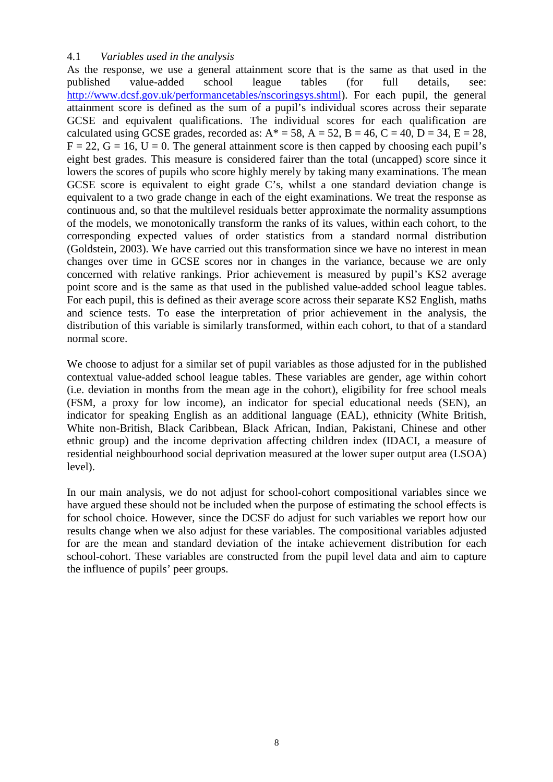### 4.1 *Variables used in the analysis*

As the response, we use a general attainment score that is the same as that used in the published value-added school league tables (for full details, see: http://www.dcsf.gov.uk/performancetables/nscoringsys.shtml). For each pupil, the general attainment score is defined as the sum of a pupil's individual scores across their separate GCSE and equivalent qualifications. The individual scores for each qualification are calculated using GCSE grades, recorded as:  $A^* = 58$ ,  $A = 52$ ,  $B = 46$ ,  $C = 40$ ,  $D = 34$ ,  $E = 28$ ,  $F = 22$ ,  $G = 16$ ,  $U = 0$ . The general attainment score is then capped by choosing each pupil's eight best grades. This measure is considered fairer than the total (uncapped) score since it lowers the scores of pupils who score highly merely by taking many examinations. The mean GCSE score is equivalent to eight grade C's, whilst a one standard deviation change is equivalent to a two grade change in each of the eight examinations. We treat the response as continuous and, so that the multilevel residuals better approximate the normality assumptions of the models, we monotonically transform the ranks of its values, within each cohort, to the corresponding expected values of order statistics from a standard normal distribution (Goldstein, 2003). We have carried out this transformation since we have no interest in mean changes over time in GCSE scores nor in changes in the variance, because we are only concerned with relative rankings. Prior achievement is measured by pupil's KS2 average point score and is the same as that used in the published value-added school league tables. For each pupil, this is defined as their average score across their separate KS2 English, maths and science tests. To ease the interpretation of prior achievement in the analysis, the distribution of this variable is similarly transformed, within each cohort, to that of a standard normal score.

We choose to adjust for a similar set of pupil variables as those adjusted for in the published contextual value-added school league tables. These variables are gender, age within cohort (i.e. deviation in months from the mean age in the cohort), eligibility for free school meals (FSM, a proxy for low income), an indicator for special educational needs (SEN), an indicator for speaking English as an additional language (EAL), ethnicity (White British, White non-British, Black Caribbean, Black African, Indian, Pakistani, Chinese and other ethnic group) and the income deprivation affecting children index (IDACI, a measure of residential neighbourhood social deprivation measured at the lower super output area (LSOA) level).

In our main analysis, we do not adjust for school-cohort compositional variables since we have argued these should not be included when the purpose of estimating the school effects is for school choice. However, since the DCSF do adjust for such variables we report how our results change when we also adjust for these variables. The compositional variables adjusted for are the mean and standard deviation of the intake achievement distribution for each school-cohort. These variables are constructed from the pupil level data and aim to capture the influence of pupils' peer groups.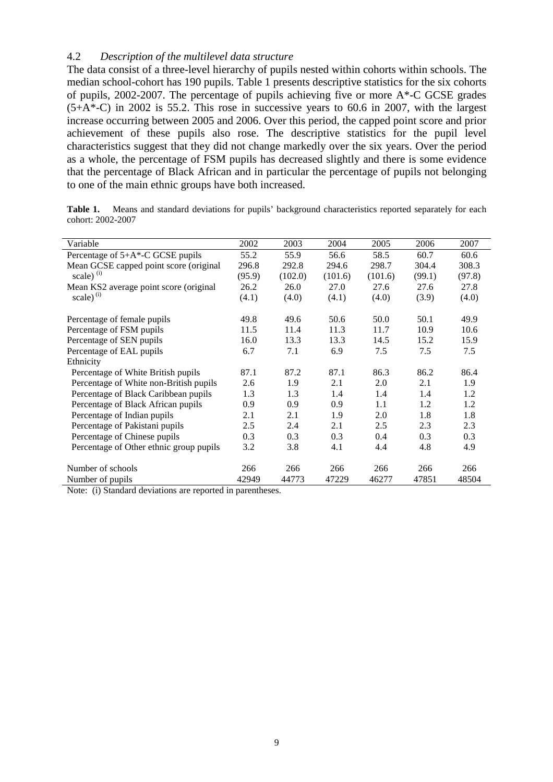### 4.2 *Description of the multilevel data structure*

The data consist of a three-level hierarchy of pupils nested within cohorts within schools. The median school-cohort has 190 pupils. Table 1 presents descriptive statistics for the six cohorts of pupils, 2002-2007. The percentage of pupils achieving five or more A\*-C GCSE grades  $(5+A^*$ -C) in 2002 is 55.2. This rose in successive years to 60.6 in 2007, with the largest increase occurring between 2005 and 2006. Over this period, the capped point score and prior achievement of these pupils also rose. The descriptive statistics for the pupil level characteristics suggest that they did not change markedly over the six years. Over the period as a whole, the percentage of FSM pupils has decreased slightly and there is some evidence that the percentage of Black African and in particular the percentage of pupils not belonging to one of the main ethnic groups have both increased.

**Table 1.** Means and standard deviations for pupils' background characteristics reported separately for each cohort: 2002-2007

| Variable                                | 2002   | 2003    | 2004    | 2005    | 2006   | 2007   |
|-----------------------------------------|--------|---------|---------|---------|--------|--------|
| Percentage of 5+A*-C GCSE pupils        | 55.2   | 55.9    | 56.6    | 58.5    | 60.7   | 60.6   |
| Mean GCSE capped point score (original  | 296.8  | 292.8   | 294.6   | 298.7   | 304.4  | 308.3  |
| scale) <sup>(i)</sup>                   | (95.9) | (102.0) | (101.6) | (101.6) | (99.1) | (97.8) |
| Mean KS2 average point score (original  | 26.2   | 26.0    | 27.0    | 27.6    | 27.6   | 27.8   |
| scale) $^{(i)}$                         | (4.1)  | (4.0)   | (4.1)   | (4.0)   | (3.9)  | (4.0)  |
|                                         |        |         |         |         |        |        |
| Percentage of female pupils             | 49.8   | 49.6    | 50.6    | 50.0    | 50.1   | 49.9   |
| Percentage of FSM pupils                | 11.5   | 11.4    | 11.3    | 11.7    | 10.9   | 10.6   |
| Percentage of SEN pupils                | 16.0   | 13.3    | 13.3    | 14.5    | 15.2   | 15.9   |
| Percentage of EAL pupils                | 6.7    | 7.1     | 6.9     | 7.5     | 7.5    | 7.5    |
| Ethnicity                               |        |         |         |         |        |        |
| Percentage of White British pupils      | 87.1   | 87.2    | 87.1    | 86.3    | 86.2   | 86.4   |
| Percentage of White non-British pupils  | 2.6    | 1.9     | 2.1     | 2.0     | 2.1    | 1.9    |
| Percentage of Black Caribbean pupils    | 1.3    | 1.3     | 1.4     | 1.4     | 1.4    | 1.2    |
| Percentage of Black African pupils      | 0.9    | 0.9     | 0.9     | 1.1     | 1.2    | 1.2    |
| Percentage of Indian pupils             | 2.1    | 2.1     | 1.9     | 2.0     | 1.8    | 1.8    |
| Percentage of Pakistani pupils          | 2.5    | 2.4     | 2.1     | 2.5     | 2.3    | 2.3    |
| Percentage of Chinese pupils            | 0.3    | 0.3     | 0.3     | 0.4     | 0.3    | 0.3    |
| Percentage of Other ethnic group pupils | 3.2    | 3.8     | 4.1     | 4.4     | 4.8    | 4.9    |
|                                         |        |         |         |         |        |        |
| Number of schools                       | 266    | 266     | 266     | 266     | 266    | 266    |
| Number of pupils                        | 42949  | 44773   | 47229   | 46277   | 47851  | 48504  |

Note: (i) Standard deviations are reported in parentheses.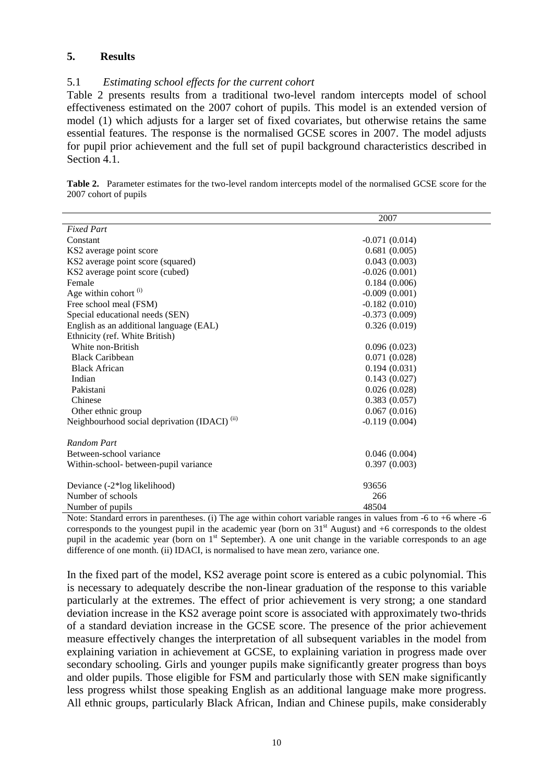### **5. Results**

### 5.1 *Estimating school effects for the current cohort*

Table 2 presents results from a traditional two-level random intercepts model of school effectiveness estimated on the 2007 cohort of pupils. This model is an extended version of model (1) which adjusts for a larger set of fixed covariates, but otherwise retains the same essential features. The response is the normalised GCSE scores in 2007. The model adjusts for pupil prior achievement and the full set of pupil background characteristics described in Section 4.1.

**Table 2.** Parameter estimates for the two-level random intercepts model of the normalised GCSE score for the 2007 cohort of pupils

|                                                          | 2007            |  |  |
|----------------------------------------------------------|-----------------|--|--|
| <b>Fixed Part</b>                                        |                 |  |  |
| Constant                                                 | $-0.071(0.014)$ |  |  |
| KS2 average point score                                  | 0.681(0.005)    |  |  |
| KS2 average point score (squared)                        | 0.043(0.003)    |  |  |
| KS2 average point score (cubed)                          | $-0.026(0.001)$ |  |  |
| Female                                                   | 0.184(0.006)    |  |  |
| Age within cohort <sup>(i)</sup>                         | $-0.009(0.001)$ |  |  |
| Free school meal (FSM)                                   | $-0.182(0.010)$ |  |  |
| Special educational needs (SEN)                          | $-0.373(0.009)$ |  |  |
| English as an additional language (EAL)                  | 0.326(0.019)    |  |  |
| Ethnicity (ref. White British)                           |                 |  |  |
| White non-British                                        | 0.096(0.023)    |  |  |
| <b>Black Caribbean</b>                                   | 0.071(0.028)    |  |  |
| <b>Black African</b>                                     | 0.194(0.031)    |  |  |
| Indian                                                   | 0.143(0.027)    |  |  |
| Pakistani                                                | 0.026(0.028)    |  |  |
| Chinese                                                  | 0.383(0.057)    |  |  |
| Other ethnic group                                       | 0.067(0.016)    |  |  |
| Neighbourhood social deprivation (IDACI) <sup>(ii)</sup> | $-0.119(0.004)$ |  |  |
| Random Part                                              |                 |  |  |
| Between-school variance                                  | 0.046(0.004)    |  |  |
| Within-school- between-pupil variance                    | 0.397(0.003)    |  |  |
| Deviance (-2*log likelihood)                             | 93656           |  |  |
| Number of schools                                        | 266             |  |  |
| Number of pupils                                         | 48504           |  |  |

Note: Standard errors in parentheses. (i) The age within cohort variable ranges in values from -6 to +6 where -6 corresponds to the youngest pupil in the academic year (born on  $31<sup>st</sup>$  August) and  $+6$  corresponds to the oldest pupil in the academic year (born on  $1<sup>st</sup>$  September). A one unit change in the variable corresponds to an age difference of one month. (ii) IDACI, is normalised to have mean zero, variance one.

In the fixed part of the model, KS2 average point score is entered as a cubic polynomial. This is necessary to adequately describe the non-linear graduation of the response to this variable particularly at the extremes. The effect of prior achievement is very strong; a one standard deviation increase in the KS2 average point score is associated with approximately two-thrids of a standard deviation increase in the GCSE score. The presence of the prior achievement measure effectively changes the interpretation of all subsequent variables in the model from explaining variation in achievement at GCSE, to explaining variation in progress made over secondary schooling. Girls and younger pupils make significantly greater progress than boys and older pupils. Those eligible for FSM and particularly those with SEN make significantly less progress whilst those speaking English as an additional language make more progress. All ethnic groups, particularly Black African, Indian and Chinese pupils, make considerably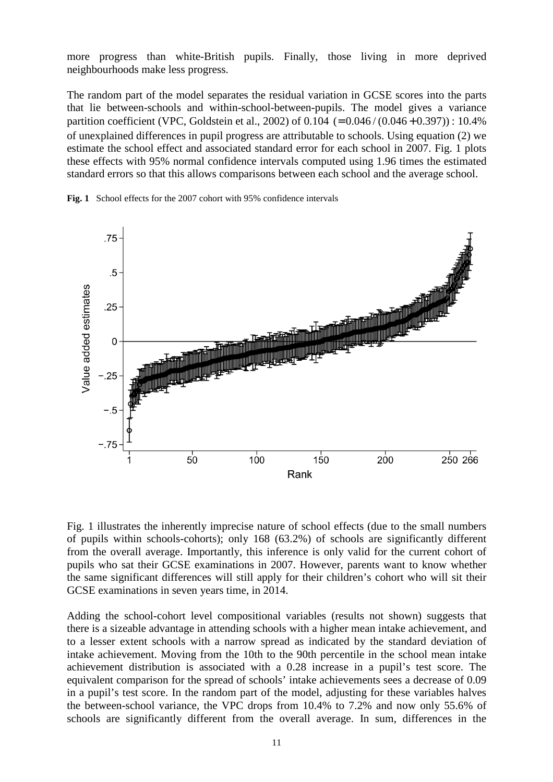more progress than white-British pupils. Finally, those living in more deprived neighbourhoods make less progress.

The random part of the model separates the residual variation in GCSE scores into the parts that lie between-schools and within-school-between-pupils. The model gives a variance partition coefficient (VPC, Goldstein et al., 2002) of  $0.104 (= 0.046/(0.046 + 0.397))$ : 10.4% of unexplained differences in pupil progress are attributable to schools. Using equation (2) we estimate the school effect and associated standard error for each school in 2007. Fig. 1 plots these effects with 95% normal confidence intervals computed using 1.96 times the estimated standard errors so that this allows comparisons between each school and the average school.





Fig. 1 illustrates the inherently imprecise nature of school effects (due to the small numbers of pupils within schools-cohorts); only 168 (63.2%) of schools are significantly different from the overall average. Importantly, this inference is only valid for the current cohort of pupils who sat their GCSE examinations in 2007. However, parents want to know whether the same significant differences will still apply for their children's cohort who will sit their GCSE examinations in seven years time, in 2014.

Adding the school-cohort level compositional variables (results not shown) suggests that there is a sizeable advantage in attending schools with a higher mean intake achievement, and to a lesser extent schools with a narrow spread as indicated by the standard deviation of intake achievement. Moving from the 10th to the 90th percentile in the school mean intake achievement distribution is associated with a 0.28 increase in a pupil's test score. The equivalent comparison for the spread of schools' intake achievements sees a decrease of 0.09 in a pupil's test score. In the random part of the model, adjusting for these variables halves the between-school variance, the VPC drops from 10.4% to 7.2% and now only 55.6% of schools are significantly different from the overall average. In sum, differences in the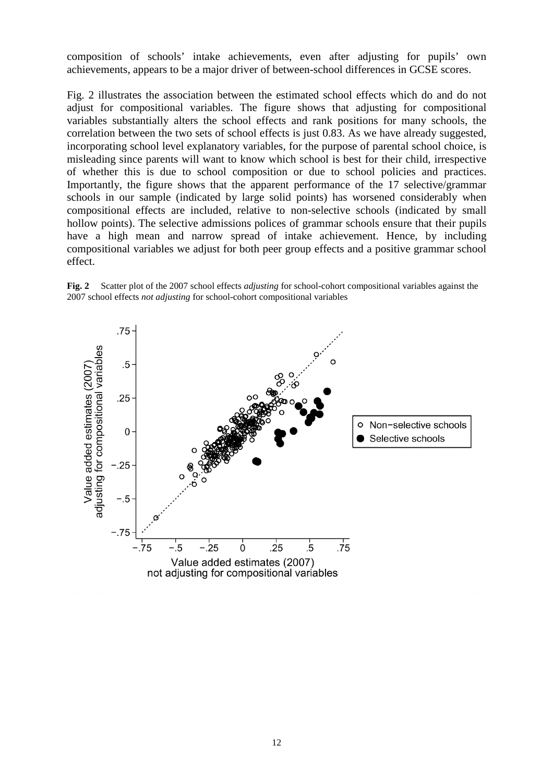composition of schools' intake achievements, even after adjusting for pupils' own achievements, appears to be a major driver of between-school differences in GCSE scores.

Fig. 2 illustrates the association between the estimated school effects which do and do not adjust for compositional variables. The figure shows that adjusting for compositional variables substantially alters the school effects and rank positions for many schools, the correlation between the two sets of school effects is just 0.83. As we have already suggested, incorporating school level explanatory variables, for the purpose of parental school choice, is misleading since parents will want to know which school is best for their child, irrespective of whether this is due to school composition or due to school policies and practices. Importantly, the figure shows that the apparent performance of the 17 selective/grammar schools in our sample (indicated by large solid points) has worsened considerably when compositional effects are included, relative to non-selective schools (indicated by small hollow points). The selective admissions polices of grammar schools ensure that their pupils have a high mean and narrow spread of intake achievement. Hence, by including compositional variables we adjust for both peer group effects and a positive grammar school effect.



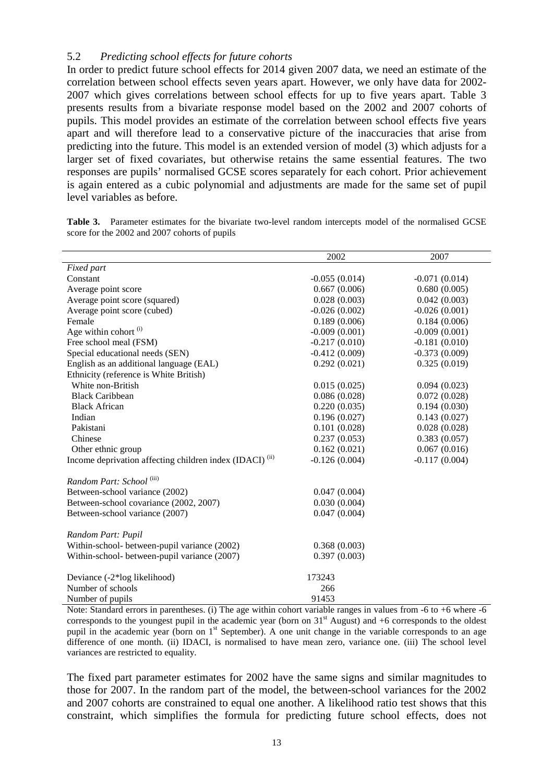### 5.2 *Predicting school effects for future cohorts*

In order to predict future school effects for 2014 given 2007 data, we need an estimate of the correlation between school effects seven years apart. However, we only have data for 2002- 2007 which gives correlations between school effects for up to five years apart. Table 3 presents results from a bivariate response model based on the 2002 and 2007 cohorts of pupils. This model provides an estimate of the correlation between school effects five years apart and will therefore lead to a conservative picture of the inaccuracies that arise from predicting into the future. This model is an extended version of model (3) which adjusts for a larger set of fixed covariates, but otherwise retains the same essential features. The two responses are pupils' normalised GCSE scores separately for each cohort. Prior achievement is again entered as a cubic polynomial and adjustments are made for the same set of pupil level variables as before.

|                                                                     | 2002            | 2007            |
|---------------------------------------------------------------------|-----------------|-----------------|
| Fixed part                                                          |                 |                 |
| Constant                                                            | $-0.055(0.014)$ | $-0.071(0.014)$ |
| Average point score                                                 | 0.667(0.006)    | 0.680(0.005)    |
| Average point score (squared)                                       | 0.028(0.003)    | 0.042(0.003)    |
| Average point score (cubed)                                         | $-0.026(0.002)$ | $-0.026(0.001)$ |
| Female                                                              | 0.189(0.006)    | 0.184(0.006)    |
| Age within cohort <sup>(i)</sup>                                    | $-0.009(0.001)$ | $-0.009(0.001)$ |
| Free school meal (FSM)                                              | $-0.217(0.010)$ | $-0.181(0.010)$ |
| Special educational needs (SEN)                                     | $-0.412(0.009)$ | $-0.373(0.009)$ |
| English as an additional language (EAL)                             | 0.292(0.021)    | 0.325(0.019)    |
| Ethnicity (reference is White British)                              |                 |                 |
| White non-British                                                   | 0.015(0.025)    | 0.094(0.023)    |
| <b>Black Caribbean</b>                                              | 0.086(0.028)    | 0.072(0.028)    |
| <b>Black African</b>                                                | 0.220(0.035)    | 0.194(0.030)    |
| Indian                                                              | 0.196(0.027)    | 0.143(0.027)    |
| Pakistani                                                           | 0.101(0.028)    | 0.028(0.028)    |
| Chinese                                                             | 0.237(0.053)    | 0.383(0.057)    |
| Other ethnic group                                                  | 0.162(0.021)    | 0.067(0.016)    |
| Income deprivation affecting children index (IDACI) <sup>(ii)</sup> | $-0.126(0.004)$ | $-0.117(0.004)$ |
| Random Part: School <sup>(iii)</sup>                                |                 |                 |
| Between-school variance (2002)                                      | 0.047(0.004)    |                 |
| Between-school covariance (2002, 2007)                              | 0.030(0.004)    |                 |
| Between-school variance (2007)                                      | 0.047(0.004)    |                 |
| Random Part: Pupil                                                  |                 |                 |
| Within-school- between-pupil variance (2002)                        | 0.368(0.003)    |                 |
| Within-school- between-pupil variance (2007)                        | 0.397(0.003)    |                 |
| Deviance (-2*log likelihood)                                        | 173243          |                 |
| Number of schools                                                   | 266             |                 |
| Number of pupils                                                    | 91453           |                 |

**Table 3.** Parameter estimates for the bivariate two-level random intercepts model of the normalised GCSE score for the 2002 and 2007 cohorts of pupils

Note: Standard errors in parentheses. (i) The age within cohort variable ranges in values from -6 to +6 where -6 corresponds to the youngest pupil in the academic year (born on  $31<sup>st</sup>$  August) and +6 corresponds to the oldest pupil in the academic year (born on 1<sup>st</sup> September). A one unit change in the variable corresponds to an age difference of one month. (ii) IDACI, is normalised to have mean zero, variance one. (iii) The school level variances are restricted to equality.

The fixed part parameter estimates for 2002 have the same signs and similar magnitudes to those for 2007. In the random part of the model, the between-school variances for the 2002 and 2007 cohorts are constrained to equal one another. A likelihood ratio test shows that this constraint, which simplifies the formula for predicting future school effects, does not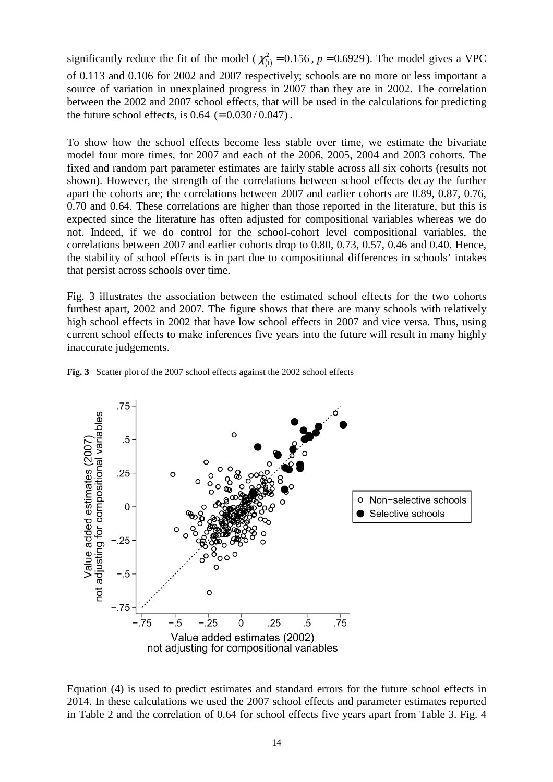significantly reduce the fit of the model ( $\chi^2_{(1)}$ )  $\chi^2_{(1)} = 0.156$ ,  $p = 0.6929$ ). The model gives a VPC of 0.113 and 0.106 for 2002 and 2007 respectively; schools are no more or less important a source of variation in unexplained progress in 2007 than they are in 2002. The correlation between the 2002 and 2007 school effects, that will be used in the calculations for predicting the future school effects, is  $0.64$  (=  $0.030 / 0.047$ ).

To show how the school effects become less stable over time, we estimate the bivariate model four more times, for 2007 and each of the 2006, 2005, 2004 and 2003 cohorts. The fixed and random part parameter estimates are fairly stable across all six cohorts (results not shown). However, the strength of the correlations between school effects decay the further apart the cohorts are; the correlations between 2007 and earlier cohorts are 0.89, 0.87, 0.76, 0.70 and 0.64. These correlations are higher than those reported in the literature, but this is expected since the literature has often adjusted for compositional variables whereas we do not. Indeed, if we do control for the school-cohort level compositional variables, the correlations between 2007 and earlier cohorts drop to 0.80, 0.73, 0.57, 0.46 and 0.40. Hence, the stability of school effects is in part due to compositional differences in schools' intakes that persist across schools over time.

Fig. 3 illustrates the association between the estimated school effects for the two cohorts furthest apart, 2002 and 2007. The figure shows that there are many schools with relatively high school effects in 2002 that have low school effects in 2007 and vice versa. Thus, using current school effects to make inferences five years into the future will result in many highly inaccurate judgements.





Equation (4) is used to predict estimates and standard errors for the future school effects in 2014. In these calculations we used the 2007 school effects and parameter estimates reported in Table 2 and the correlation of 0.64 for school effects five years apart from Table 3. Fig. 4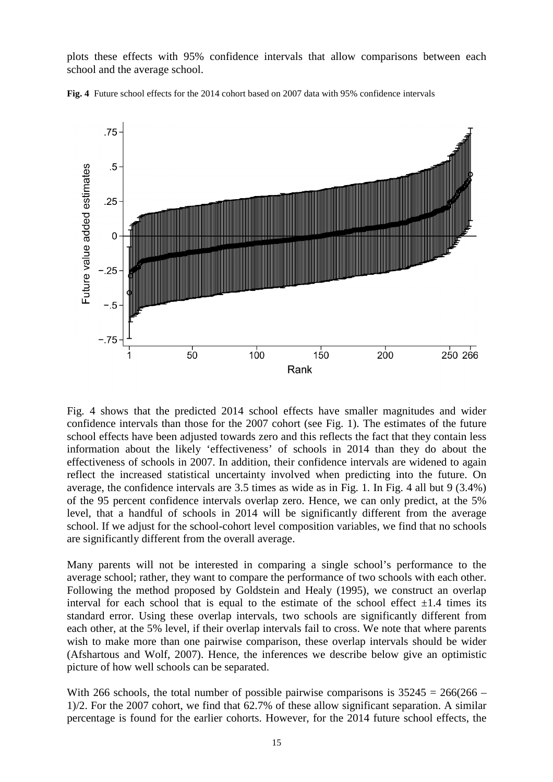plots these effects with 95% confidence intervals that allow comparisons between each school and the average school.



**Fig. 4** Future school effects for the 2014 cohort based on 2007 data with 95% confidence intervals

Fig. 4 shows that the predicted 2014 school effects have smaller magnitudes and wider confidence intervals than those for the 2007 cohort (see Fig. 1). The estimates of the future school effects have been adjusted towards zero and this reflects the fact that they contain less information about the likely 'effectiveness' of schools in 2014 than they do about the effectiveness of schools in 2007. In addition, their confidence intervals are widened to again reflect the increased statistical uncertainty involved when predicting into the future. On average, the confidence intervals are 3.5 times as wide as in Fig. 1. In Fig. 4 all but 9 (3.4%) of the 95 percent confidence intervals overlap zero. Hence, we can only predict, at the 5% level, that a handful of schools in 2014 will be significantly different from the average school. If we adjust for the school-cohort level composition variables, we find that no schools are significantly different from the overall average.

Many parents will not be interested in comparing a single school's performance to the average school; rather, they want to compare the performance of two schools with each other. Following the method proposed by Goldstein and Healy (1995), we construct an overlap interval for each school that is equal to the estimate of the school effect  $\pm 1.4$  times its standard error. Using these overlap intervals, two schools are significantly different from each other, at the 5% level, if their overlap intervals fail to cross. We note that where parents wish to make more than one pairwise comparison, these overlap intervals should be wider (Afshartous and Wolf, 2007). Hence, the inferences we describe below give an optimistic picture of how well schools can be separated.

With 266 schools, the total number of possible pairwise comparisons is  $35245 = 266(266 -$ 1)/2. For the 2007 cohort, we find that 62.7% of these allow significant separation. A similar percentage is found for the earlier cohorts. However, for the 2014 future school effects, the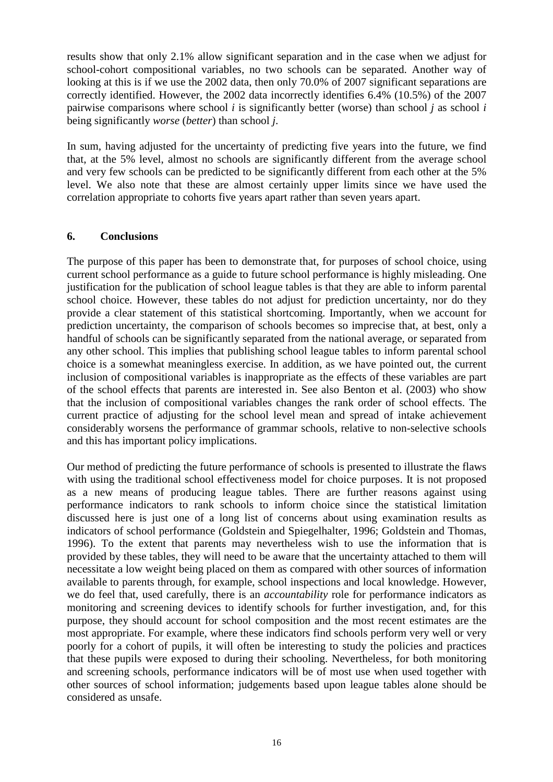results show that only 2.1% allow significant separation and in the case when we adjust for school-cohort compositional variables, no two schools can be separated. Another way of looking at this is if we use the 2002 data, then only 70.0% of 2007 significant separations are correctly identified. However, the 2002 data incorrectly identifies 6.4% (10.5%) of the 2007 pairwise comparisons where school *i* is significantly better (worse) than school *j* as school *i* being significantly *worse* (*better*) than school *j*.

In sum, having adjusted for the uncertainty of predicting five years into the future, we find that, at the 5% level, almost no schools are significantly different from the average school and very few schools can be predicted to be significantly different from each other at the 5% level. We also note that these are almost certainly upper limits since we have used the correlation appropriate to cohorts five years apart rather than seven years apart.

### **6. Conclusions**

The purpose of this paper has been to demonstrate that, for purposes of school choice, using current school performance as a guide to future school performance is highly misleading. One justification for the publication of school league tables is that they are able to inform parental school choice. However, these tables do not adjust for prediction uncertainty, nor do they provide a clear statement of this statistical shortcoming. Importantly, when we account for prediction uncertainty, the comparison of schools becomes so imprecise that, at best, only a handful of schools can be significantly separated from the national average, or separated from any other school. This implies that publishing school league tables to inform parental school choice is a somewhat meaningless exercise. In addition, as we have pointed out, the current inclusion of compositional variables is inappropriate as the effects of these variables are part of the school effects that parents are interested in. See also Benton et al. (2003) who show that the inclusion of compositional variables changes the rank order of school effects. The current practice of adjusting for the school level mean and spread of intake achievement considerably worsens the performance of grammar schools, relative to non-selective schools and this has important policy implications.

Our method of predicting the future performance of schools is presented to illustrate the flaws with using the traditional school effectiveness model for choice purposes. It is not proposed as a new means of producing league tables. There are further reasons against using performance indicators to rank schools to inform choice since the statistical limitation discussed here is just one of a long list of concerns about using examination results as indicators of school performance (Goldstein and Spiegelhalter, 1996; Goldstein and Thomas, 1996). To the extent that parents may nevertheless wish to use the information that is provided by these tables, they will need to be aware that the uncertainty attached to them will necessitate a low weight being placed on them as compared with other sources of information available to parents through, for example, school inspections and local knowledge. However, we do feel that, used carefully, there is an *accountability* role for performance indicators as monitoring and screening devices to identify schools for further investigation, and, for this purpose, they should account for school composition and the most recent estimates are the most appropriate. For example, where these indicators find schools perform very well or very poorly for a cohort of pupils, it will often be interesting to study the policies and practices that these pupils were exposed to during their schooling. Nevertheless, for both monitoring and screening schools, performance indicators will be of most use when used together with other sources of school information; judgements based upon league tables alone should be considered as unsafe.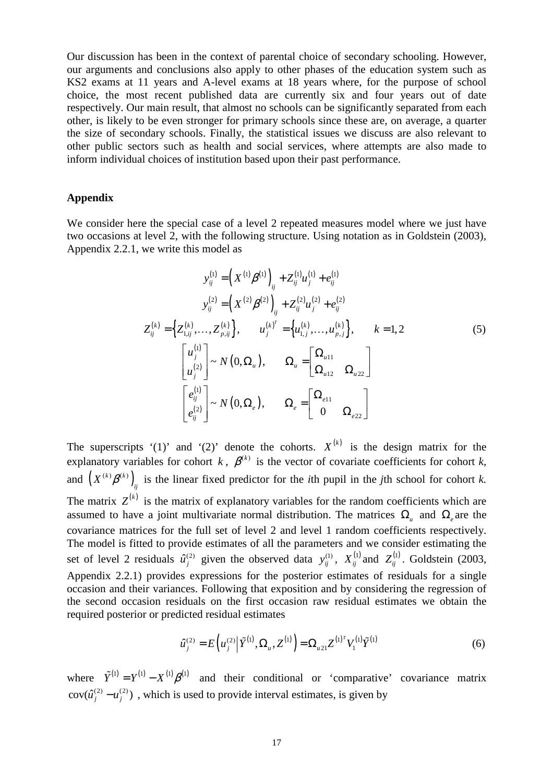Our discussion has been in the context of parental choice of secondary schooling. However, our arguments and conclusions also apply to other phases of the education system such as KS2 exams at 11 years and A-level exams at 18 years where, for the purpose of school choice, the most recent published data are currently six and four years out of date respectively. Our main result, that almost no schools can be significantly separated from each other, is likely to be even stronger for primary schools since these are, on average, a quarter the size of secondary schools. Finally, the statistical issues we discuss are also relevant to other public sectors such as health and social services, where attempts are also made to inform individual choices of institution based upon their past performance.

### **Appendix**

We consider here the special case of a level 2 repeated measures model where we just have two occasions at level 2, with the following structure. Using notation as in Goldstein (2003), Appendix 2.2.1, we write this model as

$$
y_{ij}^{(1)} = (X^{(1)}\beta^{(1)})_{ij} + Z_{ij}^{(1)}u_{j}^{(1)} + e_{ij}^{(1)}
$$
  
\n
$$
y_{ij}^{(2)} = (X^{(2)}\beta^{(2)})_{ij} + Z_{ij}^{(2)}u_{j}^{(2)} + e_{ij}^{(2)}
$$
  
\n
$$
Z_{ij}^{(k)} = \{Z_{1,ij}^{(k)},..., Z_{p,ij}^{(k)}\}, \qquad u_{j}^{(k)^{T}} = \{u_{1,j}^{(k)},..., u_{p,j}^{(k)}\}, \qquad k = 1, 2
$$
  
\n
$$
\begin{bmatrix} u_{j}^{(1)} \\ u_{j}^{(2)} \end{bmatrix} \sim N(0, \Omega_{u}), \qquad \Omega_{u} = \begin{bmatrix} \Omega_{u11} \\ \Omega_{u12} & \Omega_{u22} \end{bmatrix}
$$
  
\n
$$
\begin{bmatrix} e_{ij}^{(1)} \\ e_{ij}^{(2)} \end{bmatrix} \sim N(0, \Omega_{e}), \qquad \Omega_{e} = \begin{bmatrix} \Omega_{e11} \\ 0 & \Omega_{e22} \end{bmatrix}
$$

The superscripts '(1)' and '(2)' denote the cohorts.  $X^{(k)}$  is the design matrix for the explanatory variables for cohort  $k$ ,  $\beta^{(k)}$  is the vector of covariate coefficients for cohort  $k$ , and  $(X^{(k)}\beta^{(k)}),$  $X^{(k)}\beta^{(k)}\Big)_{ij}$  is the linear fixed predictor for the *i*th pupil in the *j*th school for cohort *k*. The matrix  $Z^{(k)}$  is the matrix of explanatory variables for the random coefficients which are assumed to have a joint multivariate normal distribution. The matrices  $\Omega_{\mu}$  and  $\Omega_{e}$  are the covariance matrices for the full set of level 2 and level 1 random coefficients respectively. The model is fitted to provide estimates of all the parameters and we consider estimating the set of level 2 residuals  $\hat{u}^{(2)}_j$  given the observed data  $y^{(1)}_{ij}$ ,  $X^{(1)}_{ij}$  and  $Z^{(1)}_{ij}$ . Goldstein (2003, Appendix 2.2.1) provides expressions for the posterior estimates of residuals for a single occasion and their variances. Following that exposition and by considering the regression of the second occasion residuals on the first occasion raw residual estimates we obtain the required posterior or predicted residual estimates

$$
\hat{u}_{j}^{(2)} = E\left(u_{j}^{(2)}\middle|\tilde{Y}^{(1)},\Omega_{u},Z^{(1)}\right) = \Omega_{u21}Z^{(1)^{T}}V_{1}^{(1)}\tilde{Y}^{(1)}
$$
\n(6)

where  $\tilde{Y}^{(1)} = Y^{(1)} - X^{(1)} \beta^{(1)}$  and their conditional or 'comparative' covariance matrix  $cov(\hat{u}_i^{(2)} - u_i^{(2)})$ , which is used to provide interval estimates, is given by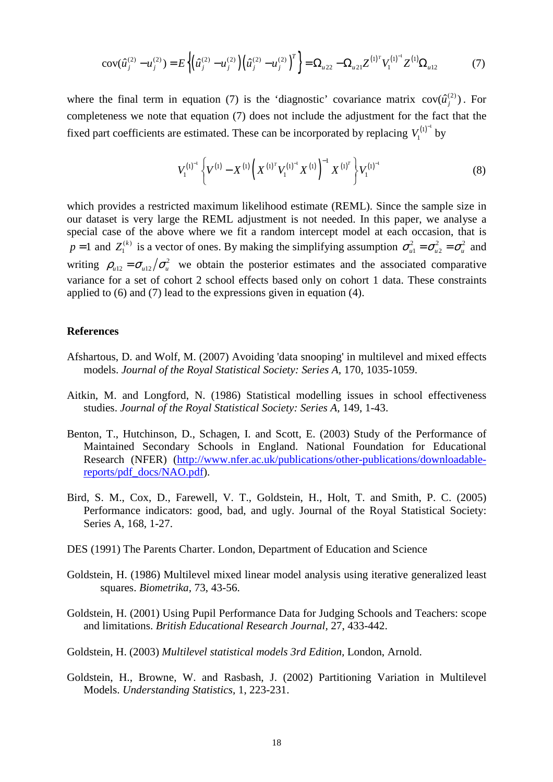$$
cov(\hat{u}_j^{(2)} - u_j^{(2)}) = E\left\{ \left( \hat{u}_j^{(2)} - u_j^{(2)} \right) \left( \hat{u}_j^{(2)} - u_j^{(2)} \right)^T \right\} = \Omega_{u22} - \Omega_{u21} Z^{(1)^T} V_1^{(1)^{-1}} Z^{(1)} \Omega_{u12} \tag{7}
$$

where the final term in equation (7) is the 'diagnostic' covariance matrix  $cov(\hat{u}_j^{(2)})$ . For completeness we note that equation (7) does not include the adjustment for the fact that the fixed part coefficients are estimated. These can be incorporated by replacing  $V_1^{(1)^{-1}}$  by

$$
V_1^{(1)^{-1}} \left\{ V^{(1)} - X^{(1)} \left( X^{(1)^T} V_1^{(1)^{-1}} X^{(1)} \right)^{-1} X^{(1)^T} \right\} V_1^{(1)^{-1}} \tag{8}
$$

which provides a restricted maximum likelihood estimate (REML). Since the sample size in our dataset is very large the REML adjustment is not needed. In this paper, we analyse a special case of the above where we fit a random intercept model at each occasion, that is  $p = 1$  and  $Z_1^{(k)}$  $Z_1^{(k)}$  is a vector of ones. By making the simplifying assumption  $\sigma_{u1}^2 = \sigma_{u2}^2 = \sigma_u^2$  and writing  $\rho_{u12} = \sigma_{u12}/\sigma_u^2$  we obtain the posterior estimates and the associated comparative variance for a set of cohort 2 school effects based only on cohort 1 data. These constraints applied to (6) and (7) lead to the expressions given in equation (4).

#### **References**

- Afshartous, D. and Wolf, M. (2007) Avoiding 'data snooping' in multilevel and mixed effects models. *Journal of the Royal Statistical Society: Series A,* 170, 1035-1059.
- Aitkin, M. and Longford, N. (1986) Statistical modelling issues in school effectiveness studies. *Journal of the Royal Statistical Society: Series A,* 149, 1-43.
- Benton, T., Hutchinson, D., Schagen, I. and Scott, E. (2003) Study of the Performance of Maintained Secondary Schools in England. National Foundation for Educational Research (NFER) (http://www.nfer.ac.uk/publications/other-publications/downloadablereports/pdf\_docs/NAO.pdf).
- Bird, S. M., Cox, D., Farewell, V. T., Goldstein, H., Holt, T. and Smith, P. C. (2005) Performance indicators: good, bad, and ugly. Journal of the Royal Statistical Society: Series A, 168, 1-27.
- DES (1991) The Parents Charter. London, Department of Education and Science
- Goldstein, H. (1986) Multilevel mixed linear model analysis using iterative generalized least squares. *Biometrika,* 73, 43-56.
- Goldstein, H. (2001) Using Pupil Performance Data for Judging Schools and Teachers: scope and limitations. *British Educational Research Journal,* 27, 433-442.
- Goldstein, H. (2003) *Multilevel statistical models 3rd Edition,* London, Arnold.
- Goldstein, H., Browne, W. and Rasbash, J. (2002) Partitioning Variation in Multilevel Models. *Understanding Statistics,* 1, 223-231.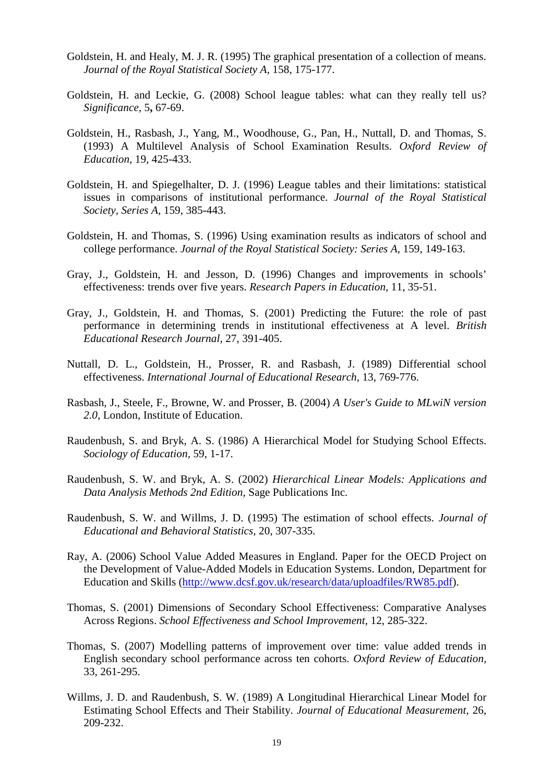- Goldstein, H. and Healy, M. J. R. (1995) The graphical presentation of a collection of means. *Journal of the Royal Statistical Society A,* 158, 175-177.
- Goldstein, H. and Leckie, G. (2008) School league tables: what can they really tell us? *Significance,* 5**,** 67-69.
- Goldstein, H., Rasbash, J., Yang, M., Woodhouse, G., Pan, H., Nuttall, D. and Thomas, S. (1993) A Multilevel Analysis of School Examination Results. *Oxford Review of Education,* 19, 425-433.
- Goldstein, H. and Spiegelhalter, D. J. (1996) League tables and their limitations: statistical issues in comparisons of institutional performance. *Journal of the Royal Statistical Society, Series A,* 159, 385-443.
- Goldstein, H. and Thomas, S. (1996) Using examination results as indicators of school and college performance. *Journal of the Royal Statistical Society: Series A,* 159, 149-163.
- Gray, J., Goldstein, H. and Jesson, D. (1996) Changes and improvements in schools' effectiveness: trends over five years. *Research Papers in Education,* 11, 35-51.
- Gray, J., Goldstein, H. and Thomas, S. (2001) Predicting the Future: the role of past performance in determining trends in institutional effectiveness at A level. *British Educational Research Journal,* 27, 391-405.
- Nuttall, D. L., Goldstein, H., Prosser, R. and Rasbash, J. (1989) Differential school effectiveness. *International Journal of Educational Research,* 13, 769-776.
- Rasbash, J., Steele, F., Browne, W. and Prosser, B. (2004) *A User's Guide to MLwiN version 2.0,* London, Institute of Education.
- Raudenbush, S. and Bryk, A. S. (1986) A Hierarchical Model for Studying School Effects. *Sociology of Education,* 59, 1-17.
- Raudenbush, S. W. and Bryk, A. S. (2002) *Hierarchical Linear Models: Applications and Data Analysis Methods 2nd Edition*, Sage Publications Inc.
- Raudenbush, S. W. and Willms, J. D. (1995) The estimation of school effects. *Journal of Educational and Behavioral Statistics,* 20, 307-335.
- Ray, A. (2006) School Value Added Measures in England. Paper for the OECD Project on the Development of Value-Added Models in Education Systems. London, Department for Education and Skills (http://www.dcsf.gov.uk/research/data/uploadfiles/RW85.pdf).
- Thomas, S. (2001) Dimensions of Secondary School Effectiveness: Comparative Analyses Across Regions. *School Effectiveness and School Improvement,* 12, 285-322.
- Thomas, S. (2007) Modelling patterns of improvement over time: value added trends in English secondary school performance across ten cohorts. *Oxford Review of Education,* 33, 261-295.
- Willms, J. D. and Raudenbush, S. W. (1989) A Longitudinal Hierarchical Linear Model for Estimating School Effects and Their Stability. *Journal of Educational Measurement,* 26, 209-232.